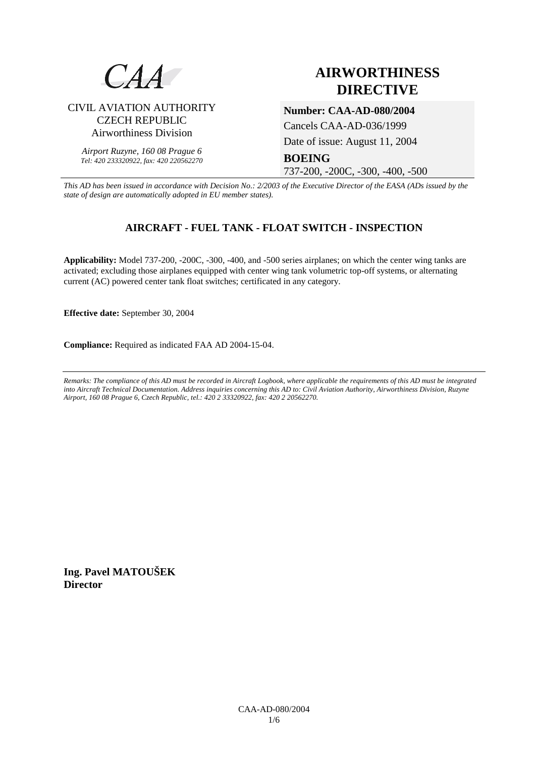

# **AIRWORTHINESS DIRECTIVE**

# CIVIL AVIATION AUTHORITY CZECH REPUBLIC Airworthiness Division

*Airport Ruzyne, 160 08 Prague 6 Tel: 420 233320922, fax: 420 220562270*

# **Number: CAA-AD-080/2004**

Cancels CAA-AD-036/1999

Date of issue: August 11, 2004

# **BOEING**

737-200, -200C, -300, -400, -500

*This AD has been issued in accordance with Decision No.: 2/2003 of the Executive Director of the EASA (ADs issued by the state of design are automatically adopted in EU member states).*

# **AIRCRAFT - FUEL TANK - FLOAT SWITCH - INSPECTION**

**Applicability:** Model 737-200, -200C, -300, -400, and -500 series airplanes; on which the center wing tanks are activated; excluding those airplanes equipped with center wing tank volumetric top-off systems, or alternating current (AC) powered center tank float switches; certificated in any category.

**Effective date:** September 30, 2004

**Compliance:** Required as indicated FAA AD 2004-15-04.

*Remarks: The compliance of this AD must be recorded in Aircraft Logbook, where applicable the requirements of this AD must be integrated into Aircraft Technical Documentation. Address inquiries concerning this AD to: Civil Aviation Authority, Airworthiness Division, Ruzyne Airport, 160 08 Prague 6, Czech Republic, tel.: 420 2 33320922, fax: 420 2 20562270.* 

**Ing. Pavel MATOUŠEK Director**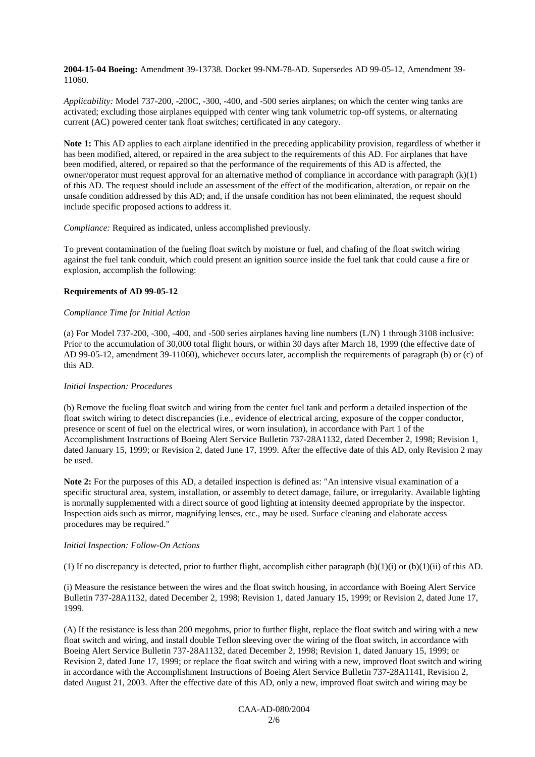**2004-15-04 Boeing:** Amendment 39-13738. Docket 99-NM-78-AD. Supersedes AD 99-05-12, Amendment 39- 11060.

*Applicability:* Model 737-200, -200C, -300, -400, and -500 series airplanes; on which the center wing tanks are activated; excluding those airplanes equipped with center wing tank volumetric top-off systems, or alternating current (AC) powered center tank float switches; certificated in any category.

**Note 1:** This AD applies to each airplane identified in the preceding applicability provision, regardless of whether it has been modified, altered, or repaired in the area subject to the requirements of this AD. For airplanes that have been modified, altered, or repaired so that the performance of the requirements of this AD is affected, the owner/operator must request approval for an alternative method of compliance in accordance with paragraph (k)(1) of this AD. The request should include an assessment of the effect of the modification, alteration, or repair on the unsafe condition addressed by this AD; and, if the unsafe condition has not been eliminated, the request should include specific proposed actions to address it.

*Compliance:* Required as indicated, unless accomplished previously.

To prevent contamination of the fueling float switch by moisture or fuel, and chafing of the float switch wiring against the fuel tank conduit, which could present an ignition source inside the fuel tank that could cause a fire or explosion, accomplish the following:

## **Requirements of AD 99-05-12**

#### *Compliance Time for Initial Action*

(a) For Model 737-200, -300, -400, and -500 series airplanes having line numbers (L/N) 1 through 3108 inclusive: Prior to the accumulation of 30,000 total flight hours, or within 30 days after March 18, 1999 (the effective date of AD 99-05-12, amendment 39-11060), whichever occurs later, accomplish the requirements of paragraph (b) or (c) of this AD.

## *Initial Inspection: Procedures*

(b) Remove the fueling float switch and wiring from the center fuel tank and perform a detailed inspection of the float switch wiring to detect discrepancies (i.e., evidence of electrical arcing, exposure of the copper conductor, presence or scent of fuel on the electrical wires, or worn insulation), in accordance with Part 1 of the Accomplishment Instructions of Boeing Alert Service Bulletin 737-28A1132, dated December 2, 1998; Revision 1, dated January 15, 1999; or Revision 2, dated June 17, 1999. After the effective date of this AD, only Revision 2 may be used.

**Note 2:** For the purposes of this AD, a detailed inspection is defined as: "An intensive visual examination of a specific structural area, system, installation, or assembly to detect damage, failure, or irregularity. Available lighting is normally supplemented with a direct source of good lighting at intensity deemed appropriate by the inspector. Inspection aids such as mirror, magnifying lenses, etc., may be used. Surface cleaning and elaborate access procedures may be required."

#### *Initial Inspection: Follow-On Actions*

(1) If no discrepancy is detected, prior to further flight, accomplish either paragraph  $(b)(1)(i)$  or  $(b)(1)(ii)$  of this AD.

(i) Measure the resistance between the wires and the float switch housing, in accordance with Boeing Alert Service Bulletin 737-28A1132, dated December 2, 1998; Revision 1, dated January 15, 1999; or Revision 2, dated June 17, 1999.

(A) If the resistance is less than 200 megohms, prior to further flight, replace the float switch and wiring with a new float switch and wiring, and install double Teflon sleeving over the wiring of the float switch, in accordance with Boeing Alert Service Bulletin 737-28A1132, dated December 2, 1998; Revision 1, dated January 15, 1999; or Revision 2, dated June 17, 1999; or replace the float switch and wiring with a new, improved float switch and wiring in accordance with the Accomplishment Instructions of Boeing Alert Service Bulletin 737-28A1141, Revision 2, dated August 21, 2003. After the effective date of this AD, only a new, improved float switch and wiring may be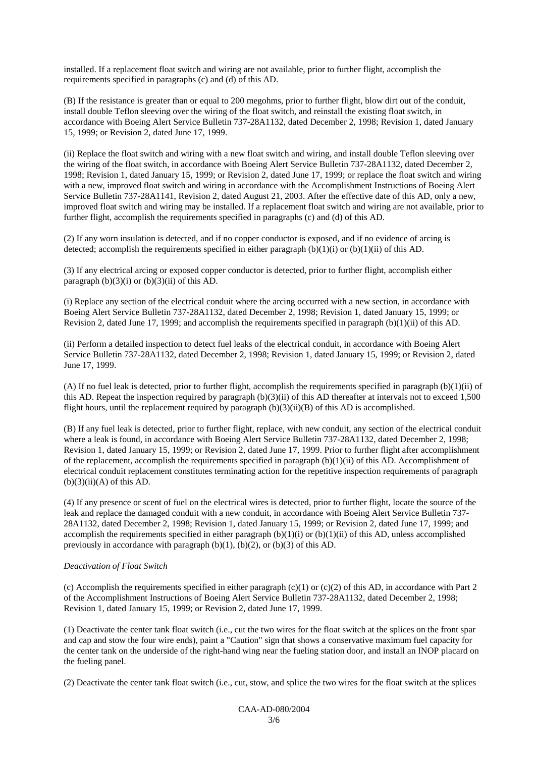installed. If a replacement float switch and wiring are not available, prior to further flight, accomplish the requirements specified in paragraphs (c) and (d) of this AD.

(B) If the resistance is greater than or equal to 200 megohms, prior to further flight, blow dirt out of the conduit, install double Teflon sleeving over the wiring of the float switch, and reinstall the existing float switch, in accordance with Boeing Alert Service Bulletin 737-28A1132, dated December 2, 1998; Revision 1, dated January 15, 1999; or Revision 2, dated June 17, 1999.

(ii) Replace the float switch and wiring with a new float switch and wiring, and install double Teflon sleeving over the wiring of the float switch, in accordance with Boeing Alert Service Bulletin 737-28A1132, dated December 2, 1998; Revision 1, dated January 15, 1999; or Revision 2, dated June 17, 1999; or replace the float switch and wiring with a new, improved float switch and wiring in accordance with the Accomplishment Instructions of Boeing Alert Service Bulletin 737-28A1141, Revision 2, dated August 21, 2003. After the effective date of this AD, only a new, improved float switch and wiring may be installed. If a replacement float switch and wiring are not available, prior to further flight, accomplish the requirements specified in paragraphs (c) and (d) of this AD.

(2) If any worn insulation is detected, and if no copper conductor is exposed, and if no evidence of arcing is detected; accomplish the requirements specified in either paragraph  $(b)(1)(i)$  or  $(b)(1)(ii)$  of this AD.

(3) If any electrical arcing or exposed copper conductor is detected, prior to further flight, accomplish either paragraph  $(b)(3)(i)$  or  $(b)(3)(ii)$  of this AD.

(i) Replace any section of the electrical conduit where the arcing occurred with a new section, in accordance with Boeing Alert Service Bulletin 737-28A1132, dated December 2, 1998; Revision 1, dated January 15, 1999; or Revision 2, dated June 17, 1999; and accomplish the requirements specified in paragraph (b)(1)(ii) of this AD.

(ii) Perform a detailed inspection to detect fuel leaks of the electrical conduit, in accordance with Boeing Alert Service Bulletin 737-28A1132, dated December 2, 1998; Revision 1, dated January 15, 1999; or Revision 2, dated June 17, 1999.

(A) If no fuel leak is detected, prior to further flight, accomplish the requirements specified in paragraph (b)(1)(ii) of this AD. Repeat the inspection required by paragraph (b)(3)(ii) of this AD thereafter at intervals not to exceed 1,500 flight hours, until the replacement required by paragraph  $(b)(3)(ii)(B)$  of this AD is accomplished.

(B) If any fuel leak is detected, prior to further flight, replace, with new conduit, any section of the electrical conduit where a leak is found, in accordance with Boeing Alert Service Bulletin 737-28A1132, dated December 2, 1998; Revision 1, dated January 15, 1999; or Revision 2, dated June 17, 1999. Prior to further flight after accomplishment of the replacement, accomplish the requirements specified in paragraph  $(b)(1)(ii)$  of this AD. Accomplishment of electrical conduit replacement constitutes terminating action for the repetitive inspection requirements of paragraph  $(b)(3)(ii)(A)$  of this AD.

(4) If any presence or scent of fuel on the electrical wires is detected, prior to further flight, locate the source of the leak and replace the damaged conduit with a new conduit, in accordance with Boeing Alert Service Bulletin 737- 28A1132, dated December 2, 1998; Revision 1, dated January 15, 1999; or Revision 2, dated June 17, 1999; and accomplish the requirements specified in either paragraph  $(b)(1)(i)$  or  $(b)(1)(ii)$  of this AD, unless accomplished previously in accordance with paragraph  $(b)(1)$ ,  $(b)(2)$ , or  $(b)(3)$  of this AD.

## *Deactivation of Float Switch*

(c) Accomplish the requirements specified in either paragraph (c)(1) or (c)(2) of this AD, in accordance with Part 2 of the Accomplishment Instructions of Boeing Alert Service Bulletin 737-28A1132, dated December 2, 1998; Revision 1, dated January 15, 1999; or Revision 2, dated June 17, 1999.

(1) Deactivate the center tank float switch (i.e., cut the two wires for the float switch at the splices on the front spar and cap and stow the four wire ends), paint a "Caution" sign that shows a conservative maximum fuel capacity for the center tank on the underside of the right-hand wing near the fueling station door, and install an INOP placard on the fueling panel.

(2) Deactivate the center tank float switch (i.e., cut, stow, and splice the two wires for the float switch at the splices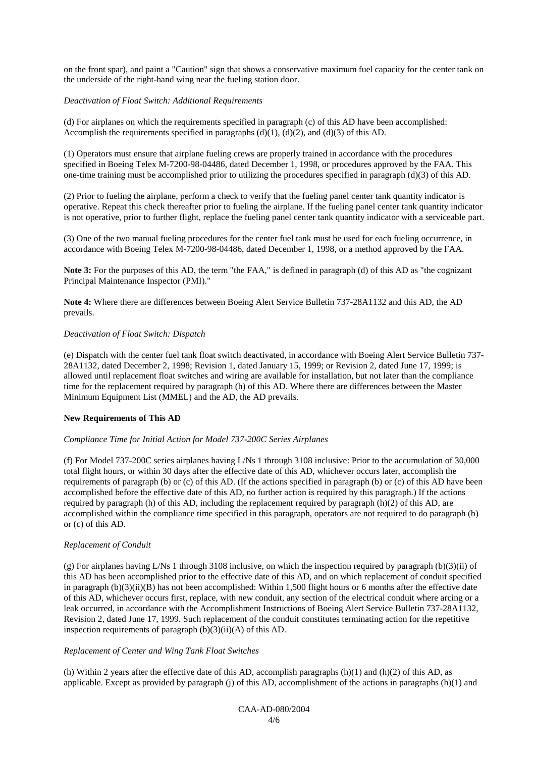on the front spar), and paint a "Caution" sign that shows a conservative maximum fuel capacity for the center tank on the underside of the right-hand wing near the fueling station door.

#### *Deactivation of Float Switch: Additional Requirements*

(d) For airplanes on which the requirements specified in paragraph (c) of this AD have been accomplished: Accomplish the requirements specified in paragraphs  $(d)(1)$ ,  $(d)(2)$ , and  $(d)(3)$  of this AD.

(1) Operators must ensure that airplane fueling crews are properly trained in accordance with the procedures specified in Boeing Telex M-7200-98-04486, dated December 1, 1998, or procedures approved by the FAA. This one-time training must be accomplished prior to utilizing the procedures specified in paragraph (d)(3) of this AD.

(2) Prior to fueling the airplane, perform a check to verify that the fueling panel center tank quantity indicator is operative. Repeat this check thereafter prior to fueling the airplane. If the fueling panel center tank quantity indicator is not operative, prior to further flight, replace the fueling panel center tank quantity indicator with a serviceable part.

(3) One of the two manual fueling procedures for the center fuel tank must be used for each fueling occurrence, in accordance with Boeing Telex M-7200-98-04486, dated December 1, 1998, or a method approved by the FAA.

**Note 3:** For the purposes of this AD, the term "the FAA," is defined in paragraph (d) of this AD as "the cognizant Principal Maintenance Inspector (PMI)."

**Note 4:** Where there are differences between Boeing Alert Service Bulletin 737-28A1132 and this AD, the AD prevails.

#### *Deactivation of Float Switch: Dispatch*

(e) Dispatch with the center fuel tank float switch deactivated, in accordance with Boeing Alert Service Bulletin 737- 28A1132, dated December 2, 1998; Revision 1, dated January 15, 1999; or Revision 2, dated June 17, 1999; is allowed until replacement float switches and wiring are available for installation, but not later than the compliance time for the replacement required by paragraph (h) of this AD. Where there are differences between the Master Minimum Equipment List (MMEL) and the AD, the AD prevails.

## **New Requirements of This AD**

#### *Compliance Time for Initial Action for Model 737-200C Series Airplanes*

(f) For Model 737-200C series airplanes having L/Ns 1 through 3108 inclusive: Prior to the accumulation of 30,000 total flight hours, or within 30 days after the effective date of this AD, whichever occurs later, accomplish the requirements of paragraph (b) or (c) of this AD. (If the actions specified in paragraph (b) or (c) of this AD have been accomplished before the effective date of this AD, no further action is required by this paragraph.) If the actions required by paragraph (h) of this AD, including the replacement required by paragraph (h)(2) of this AD, are accomplished within the compliance time specified in this paragraph, operators are not required to do paragraph (b) or (c) of this AD.

## *Replacement of Conduit*

(g) For airplanes having L/Ns 1 through 3108 inclusive, on which the inspection required by paragraph (b)(3)(ii) of this AD has been accomplished prior to the effective date of this AD, and on which replacement of conduit specified in paragraph  $(b)(3)(ii)(B)$  has not been accomplished: Within 1,500 flight hours or 6 months after the effective date of this AD, whichever occurs first, replace, with new conduit, any section of the electrical conduit where arcing or a leak occurred, in accordance with the Accomplishment Instructions of Boeing Alert Service Bulletin 737-28A1132, Revision 2, dated June 17, 1999. Such replacement of the conduit constitutes terminating action for the repetitive inspection requirements of paragraph (b)(3)(ii)(A) of this AD.

## *Replacement of Center and Wing Tank Float Switches*

(h) Within 2 years after the effective date of this AD, accomplish paragraphs  $(h)(1)$  and  $(h)(2)$  of this AD, as applicable. Except as provided by paragraph  $(i)$  of this AD, accomplishment of the actions in paragraphs  $(h)(1)$  and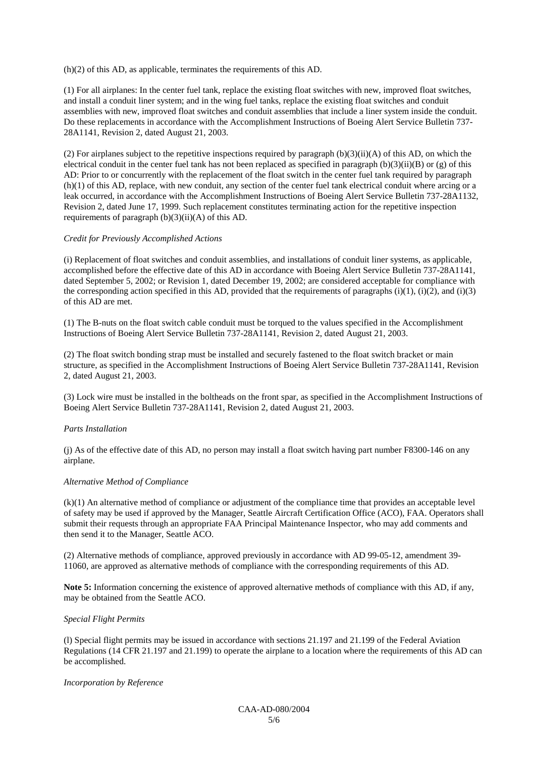(h)(2) of this AD, as applicable, terminates the requirements of this AD.

(1) For all airplanes: In the center fuel tank, replace the existing float switches with new, improved float switches, and install a conduit liner system; and in the wing fuel tanks, replace the existing float switches and conduit assemblies with new, improved float switches and conduit assemblies that include a liner system inside the conduit. Do these replacements in accordance with the Accomplishment Instructions of Boeing Alert Service Bulletin 737- 28A1141, Revision 2, dated August 21, 2003.

(2) For airplanes subject to the repetitive inspections required by paragraph  $(b)(3)(ii)(A)$  of this AD, on which the electrical conduit in the center fuel tank has not been replaced as specified in paragraph  $(b)(3)(ii)(B)$  or  $(g)$  of this AD: Prior to or concurrently with the replacement of the float switch in the center fuel tank required by paragraph (h)(1) of this AD, replace, with new conduit, any section of the center fuel tank electrical conduit where arcing or a leak occurred, in accordance with the Accomplishment Instructions of Boeing Alert Service Bulletin 737-28A1132, Revision 2, dated June 17, 1999. Such replacement constitutes terminating action for the repetitive inspection requirements of paragraph  $(b)(3)(ii)(A)$  of this AD.

#### *Credit for Previously Accomplished Actions*

(i) Replacement of float switches and conduit assemblies, and installations of conduit liner systems, as applicable, accomplished before the effective date of this AD in accordance with Boeing Alert Service Bulletin 737-28A1141, dated September 5, 2002; or Revision 1, dated December 19, 2002; are considered acceptable for compliance with the corresponding action specified in this AD, provided that the requirements of paragraphs  $(i)(1)$ ,  $(i)(2)$ , and  $(i)(3)$ of this AD are met.

(1) The B-nuts on the float switch cable conduit must be torqued to the values specified in the Accomplishment Instructions of Boeing Alert Service Bulletin 737-28A1141, Revision 2, dated August 21, 2003.

(2) The float switch bonding strap must be installed and securely fastened to the float switch bracket or main structure, as specified in the Accomplishment Instructions of Boeing Alert Service Bulletin 737-28A1141, Revision 2, dated August 21, 2003.

(3) Lock wire must be installed in the boltheads on the front spar, as specified in the Accomplishment Instructions of Boeing Alert Service Bulletin 737-28A1141, Revision 2, dated August 21, 2003.

#### *Parts Installation*

(j) As of the effective date of this AD, no person may install a float switch having part number F8300-146 on any airplane.

#### *Alternative Method of Compliance*

(k)(1) An alternative method of compliance or adjustment of the compliance time that provides an acceptable level of safety may be used if approved by the Manager, Seattle Aircraft Certification Office (ACO), FAA. Operators shall submit their requests through an appropriate FAA Principal Maintenance Inspector, who may add comments and then send it to the Manager, Seattle ACO.

(2) Alternative methods of compliance, approved previously in accordance with AD 99-05-12, amendment 39- 11060, are approved as alternative methods of compliance with the corresponding requirements of this AD.

**Note 5:** Information concerning the existence of approved alternative methods of compliance with this AD, if any, may be obtained from the Seattle ACO.

#### *Special Flight Permits*

(l) Special flight permits may be issued in accordance with sections 21.197 and 21.199 of the Federal Aviation Regulations (14 CFR 21.197 and 21.199) to operate the airplane to a location where the requirements of this AD can be accomplished.

#### *Incorporation by Reference*